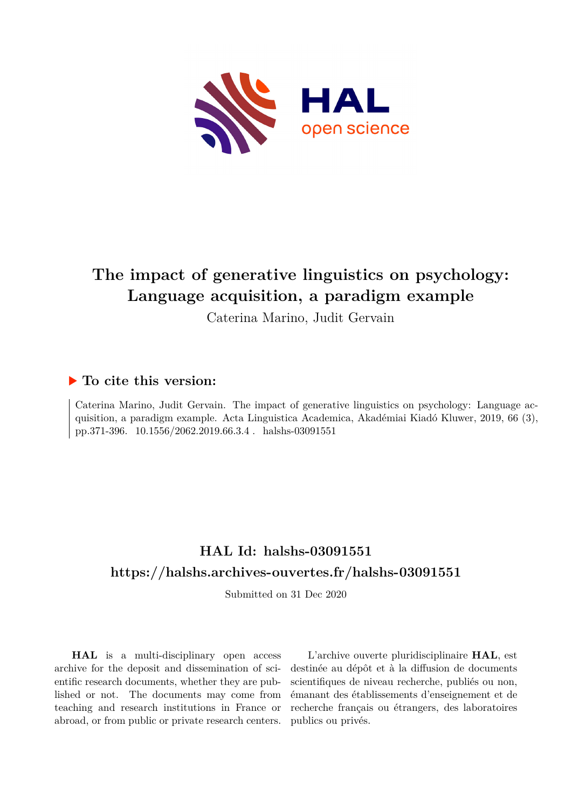

# **The impact of generative linguistics on psychology: Language acquisition, a paradigm example**

Caterina Marino, Judit Gervain

### **To cite this version:**

Caterina Marino, Judit Gervain. The impact of generative linguistics on psychology: Language acquisition, a paradigm example. Acta Linguistica Academica, Akadémiai Kiadó Kluwer, 2019, 66 (3), pp.371-396.  $10.1556/2062.2019.66.3.4$ . halshs-03091551

## **HAL Id: halshs-03091551 <https://halshs.archives-ouvertes.fr/halshs-03091551>**

Submitted on 31 Dec 2020

**HAL** is a multi-disciplinary open access archive for the deposit and dissemination of scientific research documents, whether they are published or not. The documents may come from teaching and research institutions in France or abroad, or from public or private research centers.

L'archive ouverte pluridisciplinaire **HAL**, est destinée au dépôt et à la diffusion de documents scientifiques de niveau recherche, publiés ou non, émanant des établissements d'enseignement et de recherche français ou étrangers, des laboratoires publics ou privés.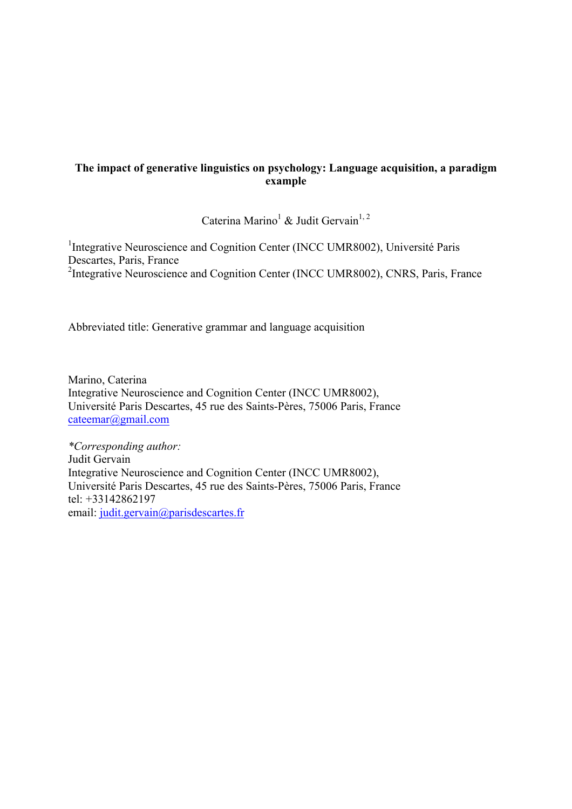#### **The impact of generative linguistics on psychology: Language acquisition, a paradigm example**

Caterina Marino<sup>1</sup> & Judit Gervain<sup>1, 2</sup>

<sup>1</sup>Integrative Neuroscience and Cognition Center (INCC UMR8002), Université Paris Descartes, Paris, France <sup>2</sup>Integrative Neuroscience and Cognition Center (INCC UMR8002), CNRS, Paris, France

Abbreviated title: Generative grammar and language acquisition

Marino, Caterina Integrative Neuroscience and Cognition Center (INCC UMR8002), Université Paris Descartes, 45 rue des Saints-Pères, 75006 Paris, France cateemar@gmail.com

*\*Corresponding author:* Judit Gervain Integrative Neuroscience and Cognition Center (INCC UMR8002), Université Paris Descartes, 45 rue des Saints-Pères, 75006 Paris, France tel: +33142862197 email: judit.gervain@parisdescartes.fr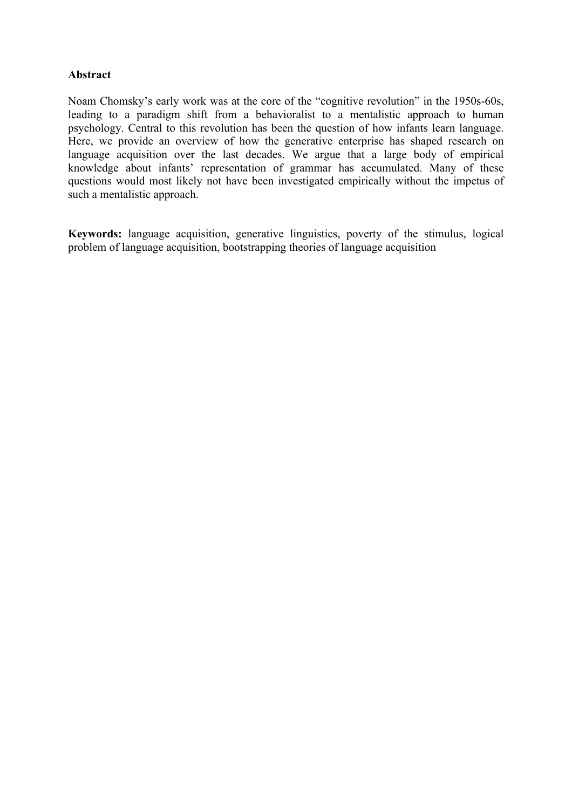#### **Abstract**

Noam Chomsky's early work was at the core of the "cognitive revolution" in the 1950s-60s, leading to a paradigm shift from a behavioralist to a mentalistic approach to human psychology. Central to this revolution has been the question of how infants learn language. Here, we provide an overview of how the generative enterprise has shaped research on language acquisition over the last decades. We argue that a large body of empirical knowledge about infants' representation of grammar has accumulated. Many of these questions would most likely not have been investigated empirically without the impetus of such a mentalistic approach.

**Keywords:** language acquisition, generative linguistics, poverty of the stimulus, logical problem of language acquisition, bootstrapping theories of language acquisition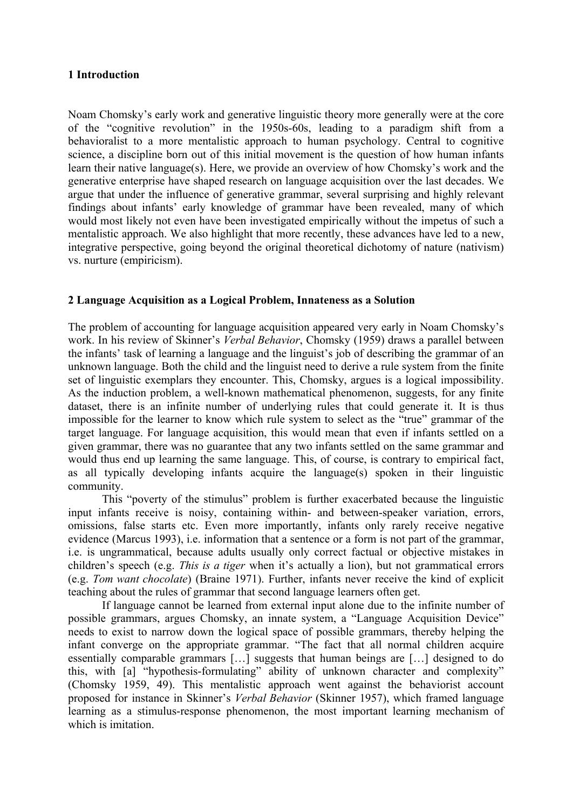#### **1 Introduction**

Noam Chomsky's early work and generative linguistic theory more generally were at the core of the "cognitive revolution" in the 1950s-60s, leading to a paradigm shift from a behavioralist to a more mentalistic approach to human psychology. Central to cognitive science, a discipline born out of this initial movement is the question of how human infants learn their native language(s). Here, we provide an overview of how Chomsky's work and the generative enterprise have shaped research on language acquisition over the last decades. We argue that under the influence of generative grammar, several surprising and highly relevant findings about infants' early knowledge of grammar have been revealed, many of which would most likely not even have been investigated empirically without the impetus of such a mentalistic approach. We also highlight that more recently, these advances have led to a new, integrative perspective, going beyond the original theoretical dichotomy of nature (nativism) vs. nurture (empiricism).

#### **2 Language Acquisition as a Logical Problem, Innateness as a Solution**

The problem of accounting for language acquisition appeared very early in Noam Chomsky's work. In his review of Skinner's *Verbal Behavior*, Chomsky (1959) draws a parallel between the infants' task of learning a language and the linguist's job of describing the grammar of an unknown language. Both the child and the linguist need to derive a rule system from the finite set of linguistic exemplars they encounter. This, Chomsky, argues is a logical impossibility. As the induction problem, a well-known mathematical phenomenon, suggests, for any finite dataset, there is an infinite number of underlying rules that could generate it. It is thus impossible for the learner to know which rule system to select as the "true" grammar of the target language. For language acquisition, this would mean that even if infants settled on a given grammar, there was no guarantee that any two infants settled on the same grammar and would thus end up learning the same language. This, of course, is contrary to empirical fact, as all typically developing infants acquire the language(s) spoken in their linguistic community.

This "poverty of the stimulus" problem is further exacerbated because the linguistic input infants receive is noisy, containing within- and between-speaker variation, errors, omissions, false starts etc. Even more importantly, infants only rarely receive negative evidence (Marcus 1993), i.e. information that a sentence or a form is not part of the grammar, i.e. is ungrammatical, because adults usually only correct factual or objective mistakes in children's speech (e.g. *This is a tiger* when it's actually a lion), but not grammatical errors (e.g. *Tom want chocolate*) (Braine 1971). Further, infants never receive the kind of explicit teaching about the rules of grammar that second language learners often get.

If language cannot be learned from external input alone due to the infinite number of possible grammars, argues Chomsky, an innate system, a "Language Acquisition Device" needs to exist to narrow down the logical space of possible grammars, thereby helping the infant converge on the appropriate grammar. "The fact that all normal children acquire essentially comparable grammars […] suggests that human beings are […] designed to do this, with [a] "hypothesis-formulating" ability of unknown character and complexity" (Chomsky 1959, 49). This mentalistic approach went against the behaviorist account proposed for instance in Skinner's *Verbal Behavior* (Skinner 1957), which framed language learning as a stimulus-response phenomenon, the most important learning mechanism of which is imitation.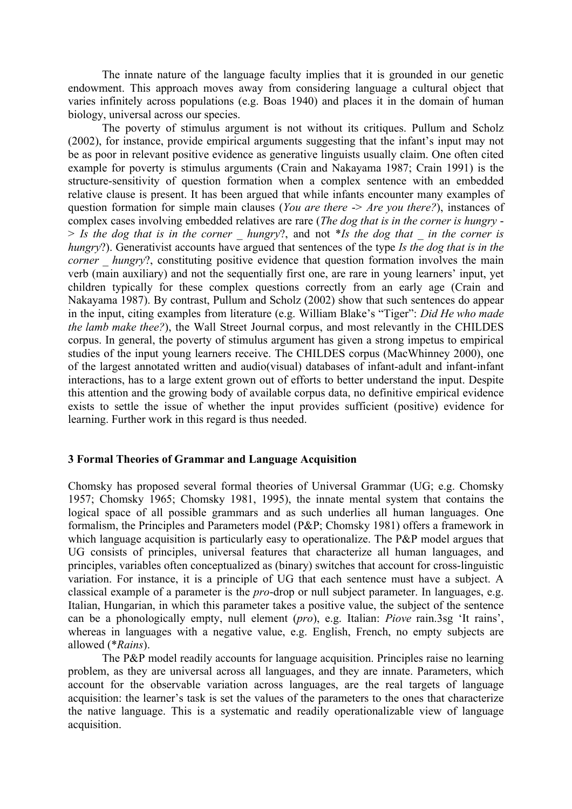The innate nature of the language faculty implies that it is grounded in our genetic endowment. This approach moves away from considering language a cultural object that varies infinitely across populations (e.g. Boas 1940) and places it in the domain of human biology, universal across our species.

The poverty of stimulus argument is not without its critiques. Pullum and Scholz (2002), for instance, provide empirical arguments suggesting that the infant's input may not be as poor in relevant positive evidence as generative linguists usually claim. One often cited example for poverty is stimulus arguments (Crain and Nakayama 1987; Crain 1991) is the structure-sensitivity of question formation when a complex sentence with an embedded relative clause is present. It has been argued that while infants encounter many examples of question formation for simple main clauses (*You are there* -> *Are you there*?), instances of complex cases involving embedded relatives are rare (*The dog that is in the corner is hungry* - > *Is the dog that is in the corner \_ hungry*?, and not \**Is the dog that \_ in the corner is hungry*?). Generativist accounts have argued that sentences of the type *Is the dog that is in the corner hungry*?, constituting positive evidence that question formation involves the main verb (main auxiliary) and not the sequentially first one, are rare in young learners' input, yet children typically for these complex questions correctly from an early age (Crain and Nakayama 1987). By contrast, Pullum and Scholz (2002) show that such sentences do appear in the input, citing examples from literature (e.g. William Blake's "Tiger": *Did He who made the lamb make thee?*), the Wall Street Journal corpus, and most relevantly in the CHILDES corpus. In general, the poverty of stimulus argument has given a strong impetus to empirical studies of the input young learners receive. The CHILDES corpus (MacWhinney 2000), one of the largest annotated written and audio(visual) databases of infant-adult and infant-infant interactions, has to a large extent grown out of efforts to better understand the input. Despite this attention and the growing body of available corpus data, no definitive empirical evidence exists to settle the issue of whether the input provides sufficient (positive) evidence for learning. Further work in this regard is thus needed.

#### **3 Formal Theories of Grammar and Language Acquisition**

Chomsky has proposed several formal theories of Universal Grammar (UG; e.g. Chomsky 1957; Chomsky 1965; Chomsky 1981, 1995), the innate mental system that contains the logical space of all possible grammars and as such underlies all human languages. One formalism, the Principles and Parameters model (P&P; Chomsky 1981) offers a framework in which language acquisition is particularly easy to operationalize. The P&P model argues that UG consists of principles, universal features that characterize all human languages, and principles, variables often conceptualized as (binary) switches that account for cross-linguistic variation. For instance, it is a principle of UG that each sentence must have a subject. A classical example of a parameter is the *pro*-drop or null subject parameter. In languages, e.g. Italian, Hungarian, in which this parameter takes a positive value, the subject of the sentence can be a phonologically empty, null element (*pro*), e.g. Italian: *Piove* rain.3sg 'It rains', whereas in languages with a negative value, e.g. English, French, no empty subjects are allowed (\**Rains*).

The P&P model readily accounts for language acquisition. Principles raise no learning problem, as they are universal across all languages, and they are innate. Parameters, which account for the observable variation across languages, are the real targets of language acquisition: the learner's task is set the values of the parameters to the ones that characterize the native language. This is a systematic and readily operationalizable view of language acquisition.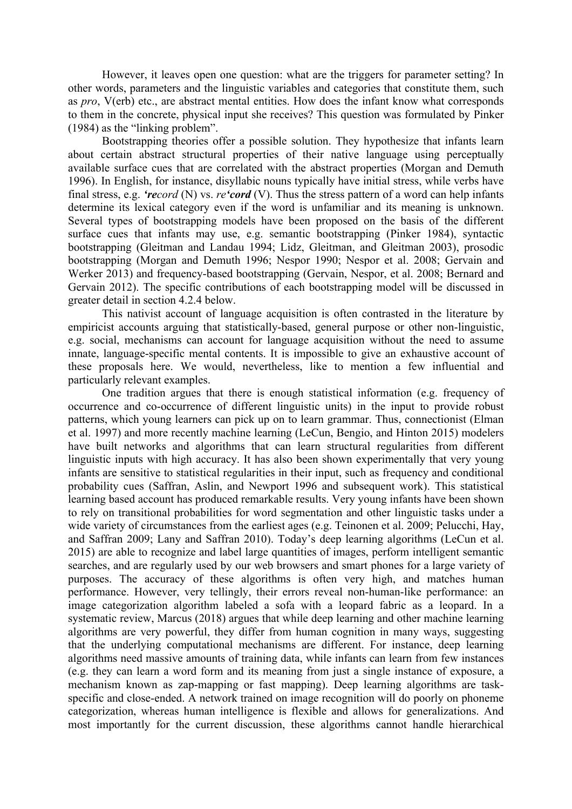However, it leaves open one question: what are the triggers for parameter setting? In other words, parameters and the linguistic variables and categories that constitute them, such as *pro*, V(erb) etc., are abstract mental entities. How does the infant know what corresponds to them in the concrete, physical input she receives? This question was formulated by Pinker (1984) as the "linking problem".

Bootstrapping theories offer a possible solution. They hypothesize that infants learn about certain abstract structural properties of their native language using perceptually available surface cues that are correlated with the abstract properties (Morgan and Demuth 1996). In English, for instance, disyllabic nouns typically have initial stress, while verbs have final stress, e.g. *'record* (N) vs. *re'cord* (V). Thus the stress pattern of a word can help infants determine its lexical category even if the word is unfamiliar and its meaning is unknown. Several types of bootstrapping models have been proposed on the basis of the different surface cues that infants may use, e.g. semantic bootstrapping (Pinker 1984), syntactic bootstrapping (Gleitman and Landau 1994; Lidz, Gleitman, and Gleitman 2003), prosodic bootstrapping (Morgan and Demuth 1996; Nespor 1990; Nespor et al. 2008; Gervain and Werker 2013) and frequency-based bootstrapping (Gervain, Nespor, et al. 2008; Bernard and Gervain 2012). The specific contributions of each bootstrapping model will be discussed in greater detail in section 4.2.4 below.

This nativist account of language acquisition is often contrasted in the literature by empiricist accounts arguing that statistically-based, general purpose or other non-linguistic, e.g. social, mechanisms can account for language acquisition without the need to assume innate, language-specific mental contents. It is impossible to give an exhaustive account of these proposals here. We would, nevertheless, like to mention a few influential and particularly relevant examples.

One tradition argues that there is enough statistical information (e.g. frequency of occurrence and co-occurrence of different linguistic units) in the input to provide robust patterns, which young learners can pick up on to learn grammar. Thus, connectionist (Elman et al. 1997) and more recently machine learning (LeCun, Bengio, and Hinton 2015) modelers have built networks and algorithms that can learn structural regularities from different linguistic inputs with high accuracy. It has also been shown experimentally that very young infants are sensitive to statistical regularities in their input, such as frequency and conditional probability cues (Saffran, Aslin, and Newport 1996 and subsequent work). This statistical learning based account has produced remarkable results. Very young infants have been shown to rely on transitional probabilities for word segmentation and other linguistic tasks under a wide variety of circumstances from the earliest ages (e.g. Teinonen et al. 2009; Pelucchi, Hay, and Saffran 2009; Lany and Saffran 2010). Today's deep learning algorithms (LeCun et al. 2015) are able to recognize and label large quantities of images, perform intelligent semantic searches, and are regularly used by our web browsers and smart phones for a large variety of purposes. The accuracy of these algorithms is often very high, and matches human performance. However, very tellingly, their errors reveal non-human-like performance: an image categorization algorithm labeled a sofa with a leopard fabric as a leopard. In a systematic review, Marcus (2018) argues that while deep learning and other machine learning algorithms are very powerful, they differ from human cognition in many ways, suggesting that the underlying computational mechanisms are different. For instance, deep learning algorithms need massive amounts of training data, while infants can learn from few instances (e.g. they can learn a word form and its meaning from just a single instance of exposure, a mechanism known as zap-mapping or fast mapping). Deep learning algorithms are taskspecific and close-ended. A network trained on image recognition will do poorly on phoneme categorization, whereas human intelligence is flexible and allows for generalizations. And most importantly for the current discussion, these algorithms cannot handle hierarchical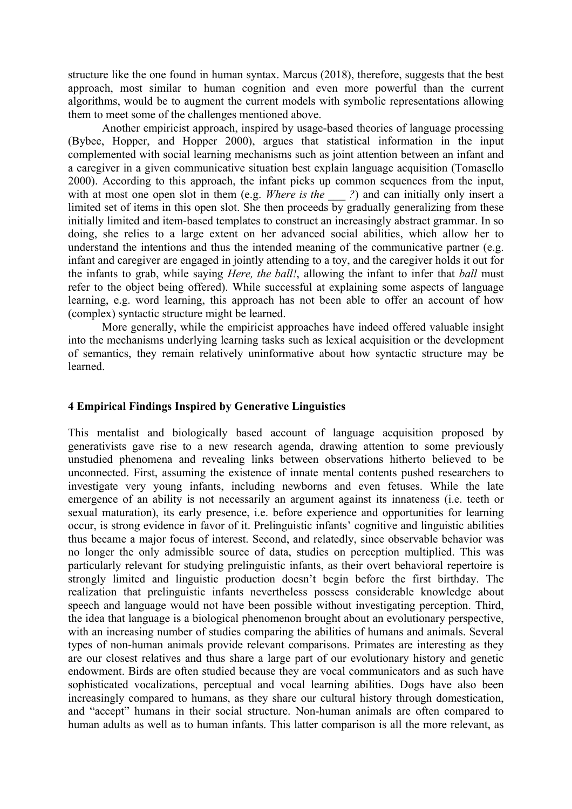structure like the one found in human syntax. Marcus (2018), therefore, suggests that the best approach, most similar to human cognition and even more powerful than the current algorithms, would be to augment the current models with symbolic representations allowing them to meet some of the challenges mentioned above.

Another empiricist approach, inspired by usage-based theories of language processing (Bybee, Hopper, and Hopper 2000), argues that statistical information in the input complemented with social learning mechanisms such as joint attention between an infant and a caregiver in a given communicative situation best explain language acquisition (Tomasello 2000). According to this approach, the infant picks up common sequences from the input, with at most one open slot in them (e.g. *Where is the* ?) and can initially only insert a limited set of items in this open slot. She then proceeds  $\overline{bv}$  gradually generalizing from these initially limited and item-based templates to construct an increasingly abstract grammar. In so doing, she relies to a large extent on her advanced social abilities, which allow her to understand the intentions and thus the intended meaning of the communicative partner (e.g. infant and caregiver are engaged in jointly attending to a toy, and the caregiver holds it out for the infants to grab, while saying *Here, the ball!*, allowing the infant to infer that *ball* must refer to the object being offered). While successful at explaining some aspects of language learning, e.g. word learning, this approach has not been able to offer an account of how (complex) syntactic structure might be learned.

More generally, while the empiricist approaches have indeed offered valuable insight into the mechanisms underlying learning tasks such as lexical acquisition or the development of semantics, they remain relatively uninformative about how syntactic structure may be learned.

#### **4 Empirical Findings Inspired by Generative Linguistics**

This mentalist and biologically based account of language acquisition proposed by generativists gave rise to a new research agenda, drawing attention to some previously unstudied phenomena and revealing links between observations hitherto believed to be unconnected. First, assuming the existence of innate mental contents pushed researchers to investigate very young infants, including newborns and even fetuses. While the late emergence of an ability is not necessarily an argument against its innateness (i.e. teeth or sexual maturation), its early presence, i.e. before experience and opportunities for learning occur, is strong evidence in favor of it. Prelinguistic infants' cognitive and linguistic abilities thus became a major focus of interest. Second, and relatedly, since observable behavior was no longer the only admissible source of data, studies on perception multiplied. This was particularly relevant for studying prelinguistic infants, as their overt behavioral repertoire is strongly limited and linguistic production doesn't begin before the first birthday. The realization that prelinguistic infants nevertheless possess considerable knowledge about speech and language would not have been possible without investigating perception. Third, the idea that language is a biological phenomenon brought about an evolutionary perspective, with an increasing number of studies comparing the abilities of humans and animals. Several types of non-human animals provide relevant comparisons. Primates are interesting as they are our closest relatives and thus share a large part of our evolutionary history and genetic endowment. Birds are often studied because they are vocal communicators and as such have sophisticated vocalizations, perceptual and vocal learning abilities. Dogs have also been increasingly compared to humans, as they share our cultural history through domestication, and "accept" humans in their social structure. Non-human animals are often compared to human adults as well as to human infants. This latter comparison is all the more relevant, as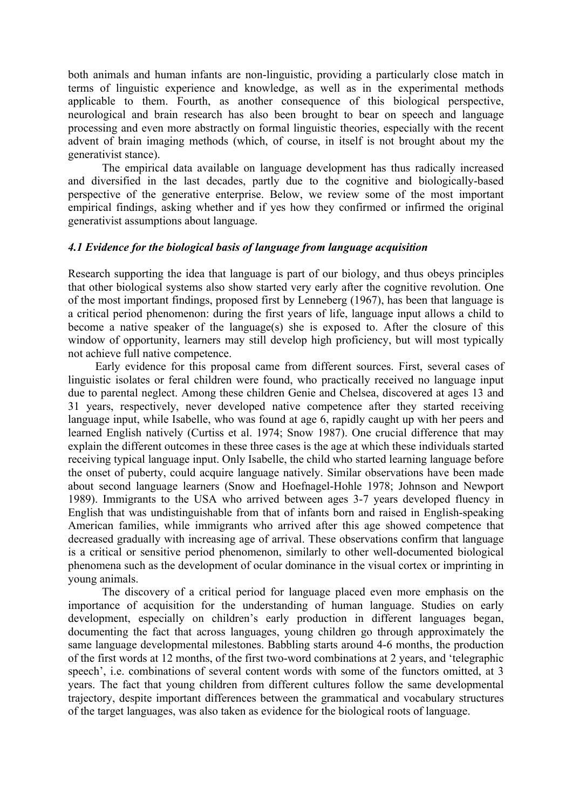both animals and human infants are non-linguistic, providing a particularly close match in terms of linguistic experience and knowledge, as well as in the experimental methods applicable to them. Fourth, as another consequence of this biological perspective, neurological and brain research has also been brought to bear on speech and language processing and even more abstractly on formal linguistic theories, especially with the recent advent of brain imaging methods (which, of course, in itself is not brought about my the generativist stance).

The empirical data available on language development has thus radically increased and diversified in the last decades, partly due to the cognitive and biologically-based perspective of the generative enterprise. Below, we review some of the most important empirical findings, asking whether and if yes how they confirmed or infirmed the original generativist assumptions about language.

#### *4.1 Evidence for the biological basis of language from language acquisition*

Research supporting the idea that language is part of our biology, and thus obeys principles that other biological systems also show started very early after the cognitive revolution. One of the most important findings, proposed first by Lenneberg (1967), has been that language is a critical period phenomenon: during the first years of life, language input allows a child to become a native speaker of the language(s) she is exposed to. After the closure of this window of opportunity, learners may still develop high proficiency, but will most typically not achieve full native competence.

Early evidence for this proposal came from different sources. First, several cases of linguistic isolates or feral children were found, who practically received no language input due to parental neglect. Among these children Genie and Chelsea, discovered at ages 13 and 31 years, respectively, never developed native competence after they started receiving language input, while Isabelle, who was found at age 6, rapidly caught up with her peers and learned English natively (Curtiss et al. 1974; Snow 1987). One crucial difference that may explain the different outcomes in these three cases is the age at which these individuals started receiving typical language input. Only Isabelle, the child who started learning language before the onset of puberty, could acquire language natively. Similar observations have been made about second language learners (Snow and Hoefnagel-Hohle 1978; Johnson and Newport 1989). Immigrants to the USA who arrived between ages 3-7 years developed fluency in English that was undistinguishable from that of infants born and raised in English-speaking American families, while immigrants who arrived after this age showed competence that decreased gradually with increasing age of arrival. These observations confirm that language is a critical or sensitive period phenomenon, similarly to other well-documented biological phenomena such as the development of ocular dominance in the visual cortex or imprinting in young animals.

The discovery of a critical period for language placed even more emphasis on the importance of acquisition for the understanding of human language. Studies on early development, especially on children's early production in different languages began, documenting the fact that across languages, young children go through approximately the same language developmental milestones. Babbling starts around 4-6 months, the production of the first words at 12 months, of the first two-word combinations at 2 years, and 'telegraphic speech', i.e. combinations of several content words with some of the functors omitted, at 3 years. The fact that young children from different cultures follow the same developmental trajectory, despite important differences between the grammatical and vocabulary structures of the target languages, was also taken as evidence for the biological roots of language.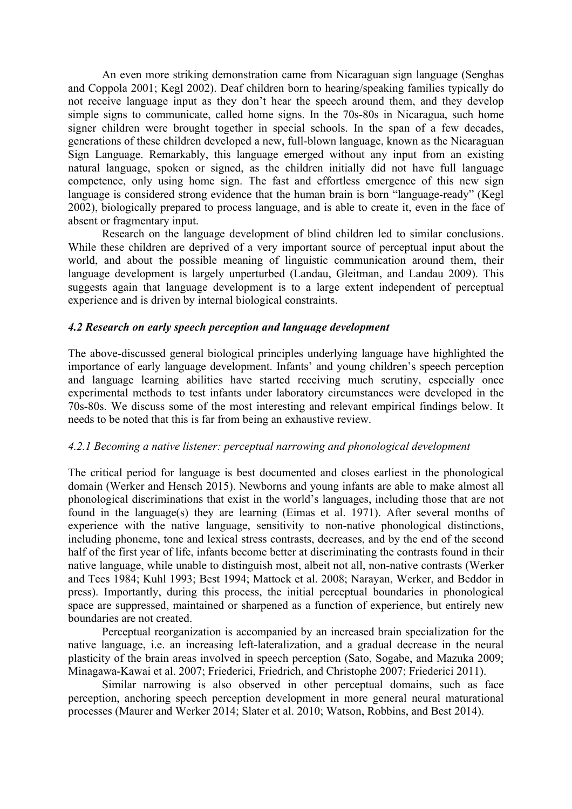An even more striking demonstration came from Nicaraguan sign language (Senghas and Coppola 2001; Kegl 2002). Deaf children born to hearing/speaking families typically do not receive language input as they don't hear the speech around them, and they develop simple signs to communicate, called home signs. In the 70s-80s in Nicaragua, such home signer children were brought together in special schools. In the span of a few decades, generations of these children developed a new, full-blown language, known as the Nicaraguan Sign Language. Remarkably, this language emerged without any input from an existing natural language, spoken or signed, as the children initially did not have full language competence, only using home sign. The fast and effortless emergence of this new sign language is considered strong evidence that the human brain is born "language-ready" (Kegl 2002), biologically prepared to process language, and is able to create it, even in the face of absent or fragmentary input.

Research on the language development of blind children led to similar conclusions. While these children are deprived of a very important source of perceptual input about the world, and about the possible meaning of linguistic communication around them, their language development is largely unperturbed (Landau, Gleitman, and Landau 2009). This suggests again that language development is to a large extent independent of perceptual experience and is driven by internal biological constraints.

#### *4.2 Research on early speech perception and language development*

The above-discussed general biological principles underlying language have highlighted the importance of early language development. Infants' and young children's speech perception and language learning abilities have started receiving much scrutiny, especially once experimental methods to test infants under laboratory circumstances were developed in the 70s-80s. We discuss some of the most interesting and relevant empirical findings below. It needs to be noted that this is far from being an exhaustive review.

#### *4.2.1 Becoming a native listener: perceptual narrowing and phonological development*

The critical period for language is best documented and closes earliest in the phonological domain (Werker and Hensch 2015). Newborns and young infants are able to make almost all phonological discriminations that exist in the world's languages, including those that are not found in the language(s) they are learning (Eimas et al. 1971). After several months of experience with the native language, sensitivity to non-native phonological distinctions, including phoneme, tone and lexical stress contrasts, decreases, and by the end of the second half of the first year of life, infants become better at discriminating the contrasts found in their native language, while unable to distinguish most, albeit not all, non-native contrasts (Werker and Tees 1984; Kuhl 1993; Best 1994; Mattock et al. 2008; Narayan, Werker, and Beddor in press). Importantly, during this process, the initial perceptual boundaries in phonological space are suppressed, maintained or sharpened as a function of experience, but entirely new boundaries are not created.

Perceptual reorganization is accompanied by an increased brain specialization for the native language, i.e. an increasing left-lateralization, and a gradual decrease in the neural plasticity of the brain areas involved in speech perception (Sato, Sogabe, and Mazuka 2009; Minagawa-Kawai et al. 2007; Friederici, Friedrich, and Christophe 2007; Friederici 2011).

Similar narrowing is also observed in other perceptual domains, such as face perception, anchoring speech perception development in more general neural maturational processes (Maurer and Werker 2014; Slater et al. 2010; Watson, Robbins, and Best 2014).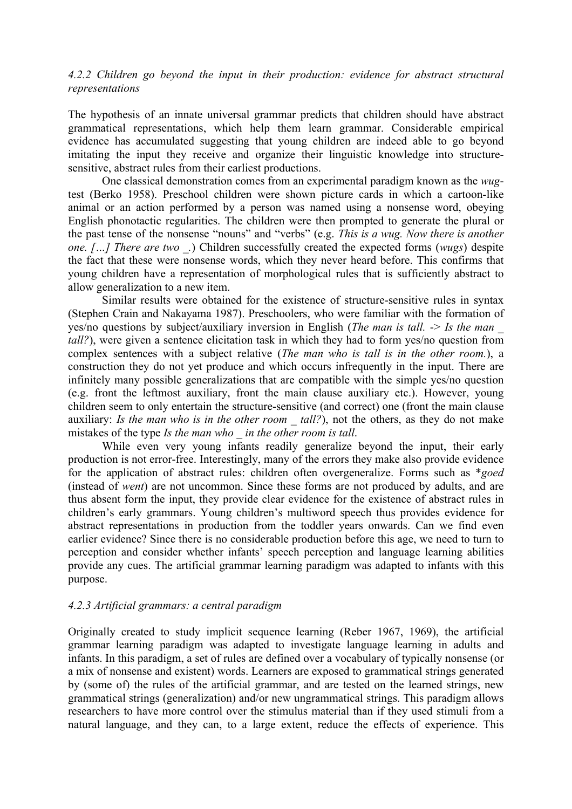#### *4.2.2 Children go beyond the input in their production: evidence for abstract structural representations*

The hypothesis of an innate universal grammar predicts that children should have abstract grammatical representations, which help them learn grammar. Considerable empirical evidence has accumulated suggesting that young children are indeed able to go beyond imitating the input they receive and organize their linguistic knowledge into structuresensitive, abstract rules from their earliest productions.

One classical demonstration comes from an experimental paradigm known as the *wug*test (Berko 1958). Preschool children were shown picture cards in which a cartoon-like animal or an action performed by a person was named using a nonsense word, obeying English phonotactic regularities. The children were then prompted to generate the plural or the past tense of the nonsense "nouns" and "verbs" (e.g. *This is a wug. Now there is another one. […] There are two \_.*) Children successfully created the expected forms (*wugs*) despite the fact that these were nonsense words, which they never heard before. This confirms that young children have a representation of morphological rules that is sufficiently abstract to allow generalization to a new item.

Similar results were obtained for the existence of structure-sensitive rules in syntax (Stephen Crain and Nakayama 1987). Preschoolers, who were familiar with the formation of yes/no questions by subject/auxiliary inversion in English (*The man is tall.* -> *Is the man \_ tall?*), were given a sentence elicitation task in which they had to form yes/no question from complex sentences with a subject relative (*The man who is tall is in the other room.*), a construction they do not yet produce and which occurs infrequently in the input. There are infinitely many possible generalizations that are compatible with the simple yes/no question (e.g. front the leftmost auxiliary, front the main clause auxiliary etc.). However, young children seem to only entertain the structure-sensitive (and correct) one (front the main clause auxiliary: *Is the man who is in the other room \_ tall?*), not the others, as they do not make mistakes of the type *Is the man who \_ in the other room is tall*.

While even very young infants readily generalize beyond the input, their early production is not error-free. Interestingly, many of the errors they make also provide evidence for the application of abstract rules: children often overgeneralize. Forms such as \**goed* (instead of *went*) are not uncommon. Since these forms are not produced by adults, and are thus absent form the input, they provide clear evidence for the existence of abstract rules in children's early grammars. Young children's multiword speech thus provides evidence for abstract representations in production from the toddler years onwards. Can we find even earlier evidence? Since there is no considerable production before this age, we need to turn to perception and consider whether infants' speech perception and language learning abilities provide any cues. The artificial grammar learning paradigm was adapted to infants with this purpose.

#### *4.2.3 Artificial grammars: a central paradigm*

Originally created to study implicit sequence learning (Reber 1967, 1969), the artificial grammar learning paradigm was adapted to investigate language learning in adults and infants. In this paradigm, a set of rules are defined over a vocabulary of typically nonsense (or a mix of nonsense and existent) words. Learners are exposed to grammatical strings generated by (some of) the rules of the artificial grammar, and are tested on the learned strings, new grammatical strings (generalization) and/or new ungrammatical strings. This paradigm allows researchers to have more control over the stimulus material than if they used stimuli from a natural language, and they can, to a large extent, reduce the effects of experience. This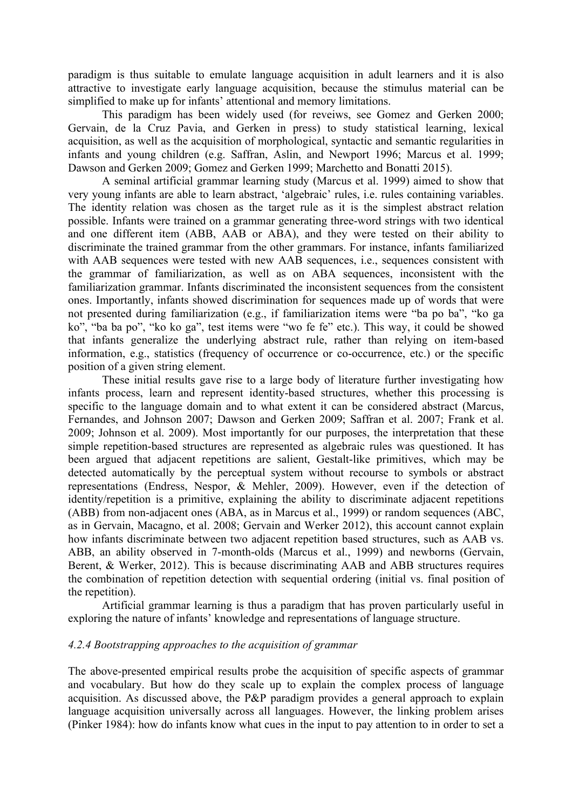paradigm is thus suitable to emulate language acquisition in adult learners and it is also attractive to investigate early language acquisition, because the stimulus material can be simplified to make up for infants' attentional and memory limitations.

This paradigm has been widely used (for reveiws, see Gomez and Gerken 2000; Gervain, de la Cruz Pavia, and Gerken in press) to study statistical learning, lexical acquisition, as well as the acquisition of morphological, syntactic and semantic regularities in infants and young children (e.g. Saffran, Aslin, and Newport 1996; Marcus et al. 1999; Dawson and Gerken 2009; Gomez and Gerken 1999; Marchetto and Bonatti 2015).

A seminal artificial grammar learning study (Marcus et al. 1999) aimed to show that very young infants are able to learn abstract, 'algebraic' rules, i.e. rules containing variables. The identity relation was chosen as the target rule as it is the simplest abstract relation possible. Infants were trained on a grammar generating three-word strings with two identical and one different item (ABB, AAB or ABA), and they were tested on their ability to discriminate the trained grammar from the other grammars. For instance, infants familiarized with AAB sequences were tested with new AAB sequences, i.e., sequences consistent with the grammar of familiarization, as well as on ABA sequences, inconsistent with the familiarization grammar. Infants discriminated the inconsistent sequences from the consistent ones. Importantly, infants showed discrimination for sequences made up of words that were not presented during familiarization (e.g., if familiarization items were "ba po ba", "ko ga ko", "ba ba po", "ko ko ga", test items were "wo fe fe" etc.). This way, it could be showed that infants generalize the underlying abstract rule, rather than relying on item-based information, e.g., statistics (frequency of occurrence or co-occurrence, etc.) or the specific position of a given string element.

These initial results gave rise to a large body of literature further investigating how infants process, learn and represent identity-based structures, whether this processing is specific to the language domain and to what extent it can be considered abstract (Marcus, Fernandes, and Johnson 2007; Dawson and Gerken 2009; Saffran et al. 2007; Frank et al. 2009; Johnson et al. 2009). Most importantly for our purposes, the interpretation that these simple repetition-based structures are represented as algebraic rules was questioned. It has been argued that adjacent repetitions are salient, Gestalt-like primitives, which may be detected automatically by the perceptual system without recourse to symbols or abstract representations (Endress, Nespor, & Mehler, 2009). However, even if the detection of identity/repetition is a primitive, explaining the ability to discriminate adjacent repetitions (ABB) from non-adjacent ones (ABA, as in Marcus et al., 1999) or random sequences (ABC, as in Gervain, Macagno, et al. 2008; Gervain and Werker 2012), this account cannot explain how infants discriminate between two adjacent repetition based structures, such as AAB vs. ABB, an ability observed in 7-month-olds (Marcus et al., 1999) and newborns (Gervain, Berent, & Werker, 2012). This is because discriminating AAB and ABB structures requires the combination of repetition detection with sequential ordering (initial vs. final position of the repetition).

Artificial grammar learning is thus a paradigm that has proven particularly useful in exploring the nature of infants' knowledge and representations of language structure.

#### *4.2.4 Bootstrapping approaches to the acquisition of grammar*

The above-presented empirical results probe the acquisition of specific aspects of grammar and vocabulary. But how do they scale up to explain the complex process of language acquisition. As discussed above, the P&P paradigm provides a general approach to explain language acquisition universally across all languages. However, the linking problem arises (Pinker 1984): how do infants know what cues in the input to pay attention to in order to set a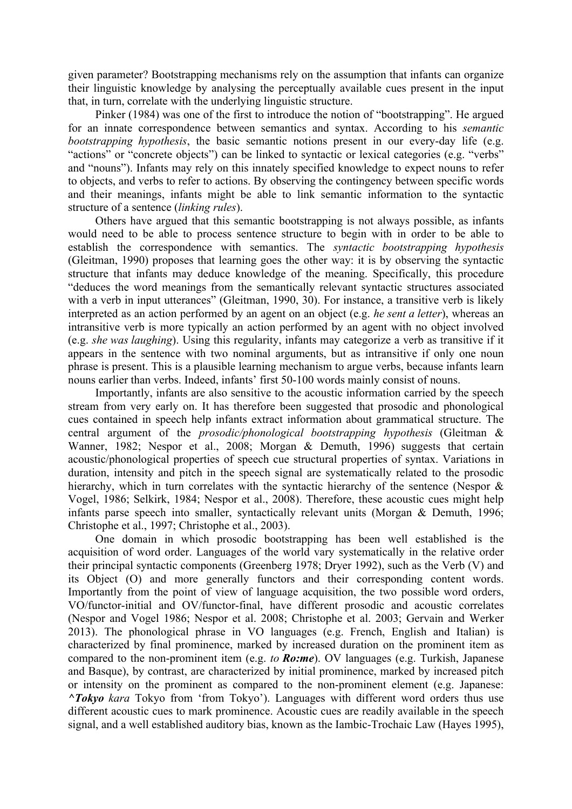given parameter? Bootstrapping mechanisms rely on the assumption that infants can organize their linguistic knowledge by analysing the perceptually available cues present in the input that, in turn, correlate with the underlying linguistic structure.

Pinker (1984) was one of the first to introduce the notion of "bootstrapping". He argued for an innate correspondence between semantics and syntax. According to his *semantic bootstrapping hypothesis*, the basic semantic notions present in our every-day life (e.g. "actions" or "concrete objects") can be linked to syntactic or lexical categories (e.g. "verbs" and "nouns"). Infants may rely on this innately specified knowledge to expect nouns to refer to objects, and verbs to refer to actions. By observing the contingency between specific words and their meanings, infants might be able to link semantic information to the syntactic structure of a sentence (*linking rules*).

Others have argued that this semantic bootstrapping is not always possible, as infants would need to be able to process sentence structure to begin with in order to be able to establish the correspondence with semantics. The *syntactic bootstrapping hypothesis*  (Gleitman, 1990) proposes that learning goes the other way: it is by observing the syntactic structure that infants may deduce knowledge of the meaning. Specifically, this procedure "deduces the word meanings from the semantically relevant syntactic structures associated with a verb in input utterances" (Gleitman, 1990, 30). For instance, a transitive verb is likely interpreted as an action performed by an agent on an object (e.g. *he sent a letter*), whereas an intransitive verb is more typically an action performed by an agent with no object involved (e.g. *she was laughing*). Using this regularity, infants may categorize a verb as transitive if it appears in the sentence with two nominal arguments, but as intransitive if only one noun phrase is present. This is a plausible learning mechanism to argue verbs, because infants learn nouns earlier than verbs. Indeed, infants' first 50-100 words mainly consist of nouns.

Importantly, infants are also sensitive to the acoustic information carried by the speech stream from very early on. It has therefore been suggested that prosodic and phonological cues contained in speech help infants extract information about grammatical structure. The central argument of the *prosodic/phonological bootstrapping hypothesis* (Gleitman & Wanner, 1982; Nespor et al., 2008; Morgan & Demuth, 1996) suggests that certain acoustic/phonological properties of speech cue structural properties of syntax. Variations in duration, intensity and pitch in the speech signal are systematically related to the prosodic hierarchy, which in turn correlates with the syntactic hierarchy of the sentence (Nespor & Vogel, 1986; Selkirk, 1984; Nespor et al., 2008). Therefore, these acoustic cues might help infants parse speech into smaller, syntactically relevant units (Morgan & Demuth, 1996; Christophe et al., 1997; Christophe et al., 2003).

One domain in which prosodic bootstrapping has been well established is the acquisition of word order. Languages of the world vary systematically in the relative order their principal syntactic components (Greenberg 1978; Dryer 1992), such as the Verb (V) and its Object (O) and more generally functors and their corresponding content words. Importantly from the point of view of language acquisition, the two possible word orders, VO/functor-initial and OV/functor-final, have different prosodic and acoustic correlates (Nespor and Vogel 1986; Nespor et al. 2008; Christophe et al. 2003; Gervain and Werker 2013). The phonological phrase in VO languages (e.g. French, English and Italian) is characterized by final prominence, marked by increased duration on the prominent item as compared to the non-prominent item (e.g. *to Ro:me*). OV languages (e.g. Turkish, Japanese and Basque), by contrast, are characterized by initial prominence, marked by increased pitch or intensity on the prominent as compared to the non-prominent element (e.g. Japanese: *^Tokyo kara* Tokyo from 'from Tokyo'). Languages with different word orders thus use different acoustic cues to mark prominence. Acoustic cues are readily available in the speech signal, and a well established auditory bias, known as the Iambic-Trochaic Law (Hayes 1995),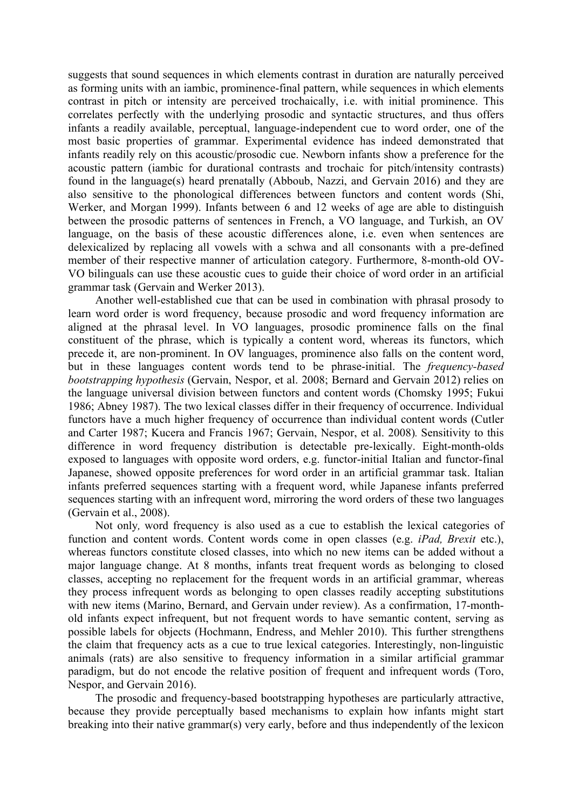suggests that sound sequences in which elements contrast in duration are naturally perceived as forming units with an iambic, prominence-final pattern, while sequences in which elements contrast in pitch or intensity are perceived trochaically, i.e. with initial prominence. This correlates perfectly with the underlying prosodic and syntactic structures, and thus offers infants a readily available, perceptual, language-independent cue to word order, one of the most basic properties of grammar. Experimental evidence has indeed demonstrated that infants readily rely on this acoustic/prosodic cue. Newborn infants show a preference for the acoustic pattern (iambic for durational contrasts and trochaic for pitch/intensity contrasts) found in the language(s) heard prenatally (Abboub, Nazzi, and Gervain 2016) and they are also sensitive to the phonological differences between functors and content words (Shi, Werker, and Morgan 1999). Infants between 6 and 12 weeks of age are able to distinguish between the prosodic patterns of sentences in French, a VO language, and Turkish, an OV language, on the basis of these acoustic differences alone, i.e. even when sentences are delexicalized by replacing all vowels with a schwa and all consonants with a pre-defined member of their respective manner of articulation category. Furthermore, 8-month-old OV-VO bilinguals can use these acoustic cues to guide their choice of word order in an artificial grammar task (Gervain and Werker 2013).

Another well-established cue that can be used in combination with phrasal prosody to learn word order is word frequency, because prosodic and word frequency information are aligned at the phrasal level. In VO languages, prosodic prominence falls on the final constituent of the phrase, which is typically a content word, whereas its functors, which precede it, are non-prominent. In OV languages, prominence also falls on the content word, but in these languages content words tend to be phrase-initial. The *frequency-based bootstrapping hypothesis* (Gervain, Nespor, et al. 2008; Bernard and Gervain 2012) relies on the language universal division between functors and content words (Chomsky 1995; Fukui 1986; Abney 1987). The two lexical classes differ in their frequency of occurrence. Individual functors have a much higher frequency of occurrence than individual content words (Cutler and Carter 1987; Kucera and Francis 1967; Gervain, Nespor, et al. 2008)*.* Sensitivity to this difference in word frequency distribution is detectable pre-lexically. Eight-month-olds exposed to languages with opposite word orders, e.g. functor-initial Italian and functor-final Japanese, showed opposite preferences for word order in an artificial grammar task. Italian infants preferred sequences starting with a frequent word, while Japanese infants preferred sequences starting with an infrequent word, mirroring the word orders of these two languages (Gervain et al., 2008).

Not only*,* word frequency is also used as a cue to establish the lexical categories of function and content words. Content words come in open classes (e.g. *iPad, Brexit* etc.), whereas functors constitute closed classes, into which no new items can be added without a major language change. At 8 months, infants treat frequent words as belonging to closed classes, accepting no replacement for the frequent words in an artificial grammar, whereas they process infrequent words as belonging to open classes readily accepting substitutions with new items (Marino, Bernard, and Gervain under review). As a confirmation, 17-monthold infants expect infrequent, but not frequent words to have semantic content, serving as possible labels for objects (Hochmann, Endress, and Mehler 2010). This further strengthens the claim that frequency acts as a cue to true lexical categories. Interestingly, non-linguistic animals (rats) are also sensitive to frequency information in a similar artificial grammar paradigm, but do not encode the relative position of frequent and infrequent words (Toro, Nespor, and Gervain 2016).

The prosodic and frequency-based bootstrapping hypotheses are particularly attractive, because they provide perceptually based mechanisms to explain how infants might start breaking into their native grammar(s) very early, before and thus independently of the lexicon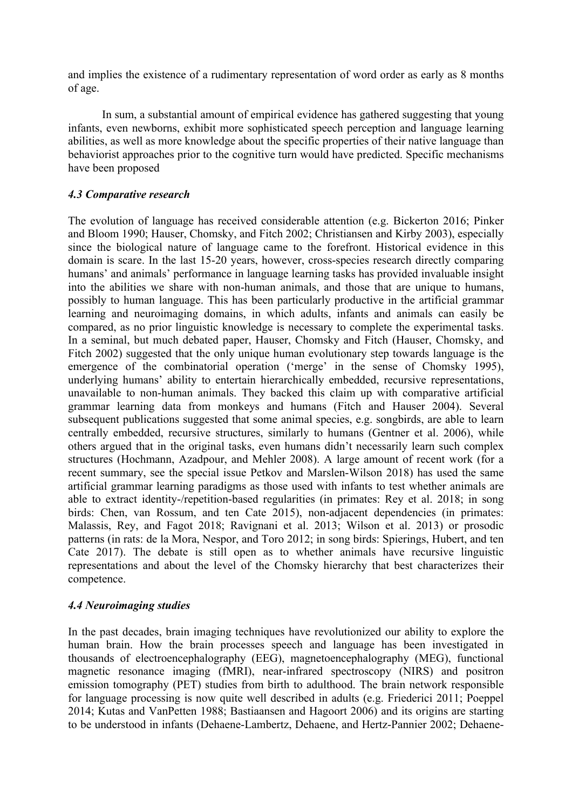and implies the existence of a rudimentary representation of word order as early as 8 months of age.

In sum, a substantial amount of empirical evidence has gathered suggesting that young infants, even newborns, exhibit more sophisticated speech perception and language learning abilities, as well as more knowledge about the specific properties of their native language than behaviorist approaches prior to the cognitive turn would have predicted. Specific mechanisms have been proposed

#### *4.3 Comparative research*

The evolution of language has received considerable attention (e.g. Bickerton 2016; Pinker and Bloom 1990; Hauser, Chomsky, and Fitch 2002; Christiansen and Kirby 2003), especially since the biological nature of language came to the forefront. Historical evidence in this domain is scare. In the last 15-20 years, however, cross-species research directly comparing humans' and animals' performance in language learning tasks has provided invaluable insight into the abilities we share with non-human animals, and those that are unique to humans, possibly to human language. This has been particularly productive in the artificial grammar learning and neuroimaging domains, in which adults, infants and animals can easily be compared, as no prior linguistic knowledge is necessary to complete the experimental tasks. In a seminal, but much debated paper, Hauser, Chomsky and Fitch (Hauser, Chomsky, and Fitch 2002) suggested that the only unique human evolutionary step towards language is the emergence of the combinatorial operation ('merge' in the sense of Chomsky 1995), underlying humans' ability to entertain hierarchically embedded, recursive representations, unavailable to non-human animals. They backed this claim up with comparative artificial grammar learning data from monkeys and humans (Fitch and Hauser 2004). Several subsequent publications suggested that some animal species, e.g. songbirds, are able to learn centrally embedded, recursive structures, similarly to humans (Gentner et al. 2006), while others argued that in the original tasks, even humans didn't necessarily learn such complex structures (Hochmann, Azadpour, and Mehler 2008). A large amount of recent work (for a recent summary, see the special issue Petkov and Marslen-Wilson 2018) has used the same artificial grammar learning paradigms as those used with infants to test whether animals are able to extract identity-/repetition-based regularities (in primates: Rey et al. 2018; in song birds: Chen, van Rossum, and ten Cate 2015), non-adjacent dependencies (in primates: Malassis, Rey, and Fagot 2018; Ravignani et al. 2013; Wilson et al. 2013) or prosodic patterns (in rats: de la Mora, Nespor, and Toro 2012; in song birds: Spierings, Hubert, and ten Cate 2017). The debate is still open as to whether animals have recursive linguistic representations and about the level of the Chomsky hierarchy that best characterizes their competence.

#### *4.4 Neuroimaging studies*

In the past decades, brain imaging techniques have revolutionized our ability to explore the human brain. How the brain processes speech and language has been investigated in thousands of electroencephalography (EEG), magnetoencephalography (MEG), functional magnetic resonance imaging (fMRI), near-infrared spectroscopy (NIRS) and positron emission tomography (PET) studies from birth to adulthood. The brain network responsible for language processing is now quite well described in adults (e.g. Friederici 2011; Poeppel 2014; Kutas and VanPetten 1988; Bastiaansen and Hagoort 2006) and its origins are starting to be understood in infants (Dehaene-Lambertz, Dehaene, and Hertz-Pannier 2002; Dehaene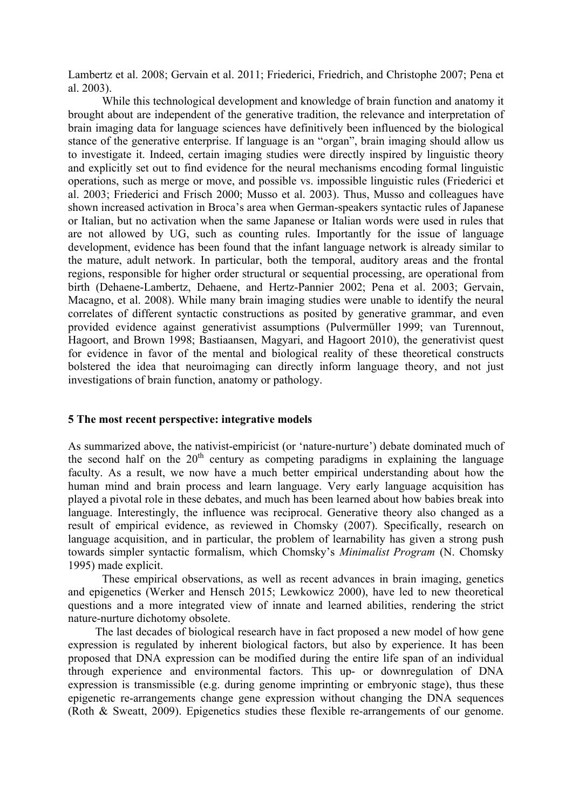Lambertz et al. 2008; Gervain et al. 2011; Friederici, Friedrich, and Christophe 2007; Pena et al. 2003).

While this technological development and knowledge of brain function and anatomy it brought about are independent of the generative tradition, the relevance and interpretation of brain imaging data for language sciences have definitively been influenced by the biological stance of the generative enterprise. If language is an "organ", brain imaging should allow us to investigate it. Indeed, certain imaging studies were directly inspired by linguistic theory and explicitly set out to find evidence for the neural mechanisms encoding formal linguistic operations, such as merge or move, and possible vs. impossible linguistic rules (Friederici et al. 2003; Friederici and Frisch 2000; Musso et al. 2003). Thus, Musso and colleagues have shown increased activation in Broca's area when German-speakers syntactic rules of Japanese or Italian, but no activation when the same Japanese or Italian words were used in rules that are not allowed by UG, such as counting rules. Importantly for the issue of language development, evidence has been found that the infant language network is already similar to the mature, adult network. In particular, both the temporal, auditory areas and the frontal regions, responsible for higher order structural or sequential processing, are operational from birth (Dehaene-Lambertz, Dehaene, and Hertz-Pannier 2002; Pena et al. 2003; Gervain, Macagno, et al. 2008). While many brain imaging studies were unable to identify the neural correlates of different syntactic constructions as posited by generative grammar, and even provided evidence against generativist assumptions (Pulvermüller 1999; van Turennout, Hagoort, and Brown 1998; Bastiaansen, Magyari, and Hagoort 2010), the generativist quest for evidence in favor of the mental and biological reality of these theoretical constructs bolstered the idea that neuroimaging can directly inform language theory, and not just investigations of brain function, anatomy or pathology.

#### **5 The most recent perspective: integrative models**

As summarized above, the nativist-empiricist (or 'nature-nurture') debate dominated much of the second half on the  $20<sup>th</sup>$  century as competing paradigms in explaining the language faculty. As a result, we now have a much better empirical understanding about how the human mind and brain process and learn language. Very early language acquisition has played a pivotal role in these debates, and much has been learned about how babies break into language. Interestingly, the influence was reciprocal. Generative theory also changed as a result of empirical evidence, as reviewed in Chomsky (2007). Specifically, research on language acquisition, and in particular, the problem of learnability has given a strong push towards simpler syntactic formalism, which Chomsky's *Minimalist Program* (N. Chomsky 1995) made explicit.

These empirical observations, as well as recent advances in brain imaging, genetics and epigenetics (Werker and Hensch 2015; Lewkowicz 2000), have led to new theoretical questions and a more integrated view of innate and learned abilities, rendering the strict nature-nurture dichotomy obsolete.

The last decades of biological research have in fact proposed a new model of how gene expression is regulated by inherent biological factors, but also by experience. It has been proposed that DNA expression can be modified during the entire life span of an individual through experience and environmental factors. This up- or downregulation of DNA expression is transmissible (e.g. during genome imprinting or embryonic stage), thus these epigenetic re-arrangements change gene expression without changing the DNA sequences (Roth & Sweatt, 2009). Epigenetics studies these flexible re-arrangements of our genome.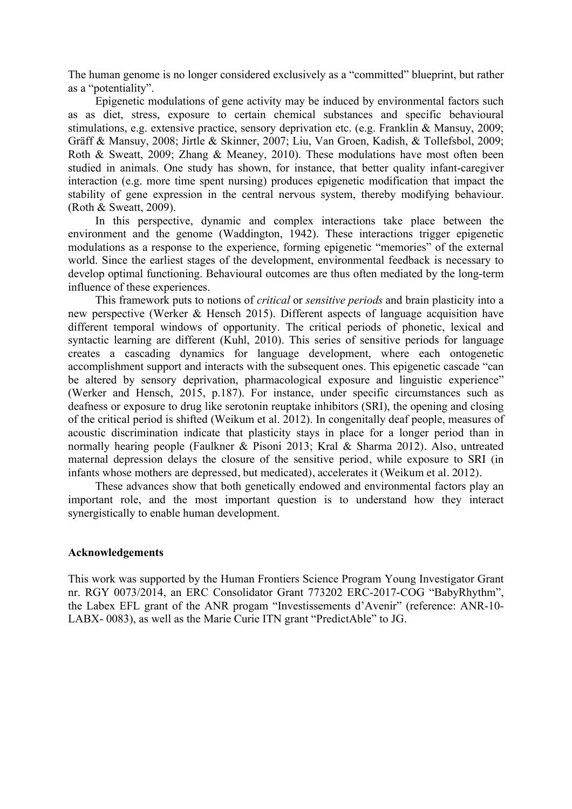The human genome is no longer considered exclusively as a "committed" blueprint, but rather as a "potentiality".

Epigenetic modulations of gene activity may be induced by environmental factors such as as diet, stress, exposure to certain chemical substances and specific behavioural stimulations, e.g. extensive practice, sensory deprivation etc. (e.g. Franklin & Mansuy, 2009; Gräff & Mansuy, 2008; Jirtle & Skinner, 2007; Liu, Van Groen, Kadish, & Tollefsbol, 2009; Roth & Sweatt, 2009; Zhang & Meaney, 2010). These modulations have most often been studied in animals. One study has shown, for instance, that better quality infant-caregiver interaction (e.g. more time spent nursing) produces epigenetic modification that impact the stability of gene expression in the central nervous system, thereby modifying behaviour. (Roth & Sweatt, 2009).

In this perspective, dynamic and complex interactions take place between the environment and the genome (Waddington, 1942). These interactions trigger epigenetic modulations as a response to the experience, forming epigenetic "memories" of the external world. Since the earliest stages of the development, environmental feedback is necessary to develop optimal functioning. Behavioural outcomes are thus often mediated by the long-term influence of these experiences.

This framework puts to notions of *critical* or *sensitive periods* and brain plasticity into a new perspective (Werker & Hensch 2015). Different aspects of language acquisition have different temporal windows of opportunity. The critical periods of phonetic, lexical and syntactic learning are different (Kuhl, 2010). This series of sensitive periods for language creates a cascading dynamics for language development, where each ontogenetic accomplishment support and interacts with the subsequent ones. This epigenetic cascade "can be altered by sensory deprivation, pharmacological exposure and linguistic experience" (Werker and Hensch, 2015, p.187). For instance, under specific circumstances such as deafness or exposure to drug like serotonin reuptake inhibitors (SRI), the opening and closing of the critical period is shifted (Weikum et al. 2012). In congenitally deaf people, measures of acoustic discrimination indicate that plasticity stays in place for a longer period than in normally hearing people (Faulkner & Pisoni 2013; Kral & Sharma 2012). Also, untreated maternal depression delays the closure of the sensitive period, while exposure to SRI (in infants whose mothers are depressed, but medicated), accelerates it (Weikum et al. 2012).

These advances show that both genetically endowed and environmental factors play an important role, and the most important question is to understand how they interact synergistically to enable human development.

#### **Acknowledgements**

This work was supported by the Human Frontiers Science Program Young Investigator Grant nr. RGY 0073/2014, an ERC Consolidator Grant 773202 ERC-2017-COG "BabyRhythm", the Labex EFL grant of the ANR progam "Investissements d'Avenir" (reference: ANR-10- LABX- 0083), as well as the Marie Curie ITN grant "PredictAble" to JG.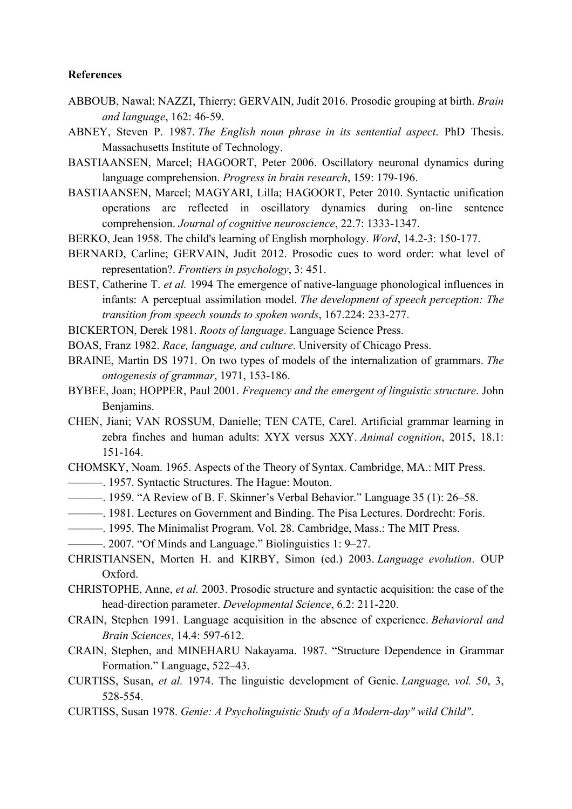#### **References**

- ABBOUB, Nawal; NAZZI, Thierry; GERVAIN, Judit 2016. Prosodic grouping at birth. *Brain and language*, 162: 46-59.
- ABNEY, Steven P. 1987. *The English noun phrase in its sentential aspect*. PhD Thesis. Massachusetts Institute of Technology.
- BASTIAANSEN, Marcel; HAGOORT, Peter 2006. Oscillatory neuronal dynamics during language comprehension. *Progress in brain research*, 159: 179-196.
- BASTIAANSEN, Marcel; MAGYARI, Lilla; HAGOORT, Peter 2010. Syntactic unification operations are reflected in oscillatory dynamics during on-line sentence comprehension. *Journal of cognitive neuroscience*, 22.7: 1333-1347.
- BERKO, Jean 1958. The child's learning of English morphology. *Word*, 14.2-3: 150-177.
- BERNARD, Carline; GERVAIN, Judit 2012. Prosodic cues to word order: what level of representation?. *Frontiers in psychology*, 3: 451.
- BEST, Catherine T. *et al.* 1994 The emergence of native-language phonological influences in infants: A perceptual assimilation model. *The development of speech perception: The transition from speech sounds to spoken words*, 167.224: 233-277.
- BICKERTON, Derek 1981. *Roots of language*. Language Science Press.
- BOAS, Franz 1982. *Race, language, and culture*. University of Chicago Press.
- BRAINE, Martin DS 1971. On two types of models of the internalization of grammars. *The ontogenesis of grammar*, 1971, 153-186.
- BYBEE, Joan; HOPPER, Paul 2001. *Frequency and the emergent of linguistic structure*. John Benjamins.
- CHEN, Jiani; VAN ROSSUM, Danielle; TEN CATE, Carel. Artificial grammar learning in zebra finches and human adults: XYX versus XXY. *Animal cognition*, 2015, 18.1: 151-164.
- CHOMSKY, Noam. 1965. Aspects of the Theory of Syntax. Cambridge, MA.: MIT Press. ———. 1957. Syntactic Structures. The Hague: Mouton.
- ———. 1959. "A Review of B. F. Skinner's Verbal Behavior." Language 35 (1): 26–58.
- ———. 1981. Lectures on Government and Binding. The Pisa Lectures. Dordrecht: Foris.
- ———. 1995. The Minimalist Program. Vol. 28. Cambridge, Mass.: The MIT Press.
- ———. 2007. "Of Minds and Language." Biolinguistics 1: 9–27.
- CHRISTIANSEN, Morten H. and KIRBY, Simon (ed.) 2003. *Language evolution*. OUP Oxford.
- CHRISTOPHE, Anne, *et al.* 2003. Prosodic structure and syntactic acquisition: the case of the head‐direction parameter. *Developmental Science*, 6.2: 211-220.
- CRAIN, Stephen 1991. Language acquisition in the absence of experience. *Behavioral and Brain Sciences*, 14.4: 597-612.
- CRAIN, Stephen, and MINEHARU Nakayama. 1987. "Structure Dependence in Grammar Formation." Language, 522–43.
- CURTISS, Susan, *et al.* 1974. The linguistic development of Genie. *Language, vol. 50*, 3, 528-554.
- CURTISS, Susan 1978. *Genie: A Psycholinguistic Study of a Modern-day" wild Child"*.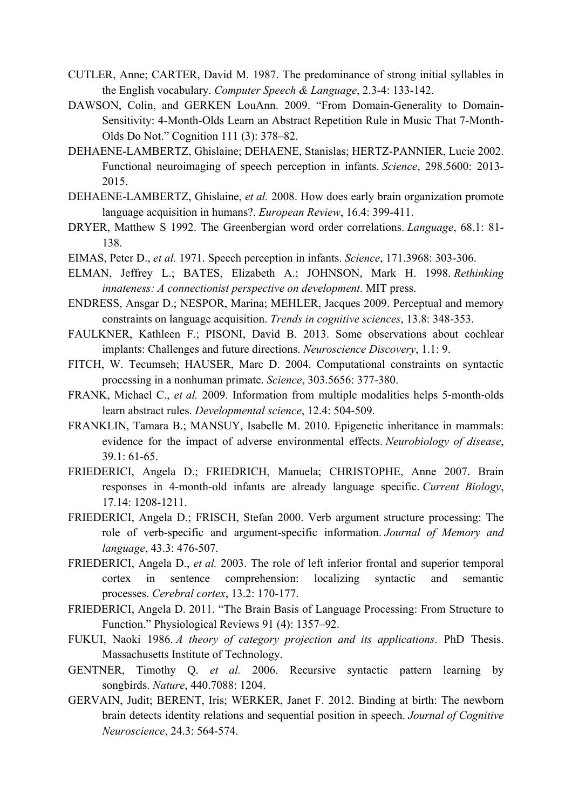- CUTLER, Anne; CARTER, David M. 1987. The predominance of strong initial syllables in the English vocabulary. *Computer Speech & Language*, 2.3-4: 133-142.
- DAWSON, Colin, and GERKEN LouAnn. 2009. "From Domain-Generality to Domain-Sensitivity: 4-Month-Olds Learn an Abstract Repetition Rule in Music That 7-Month-Olds Do Not." Cognition 111 (3): 378–82.
- DEHAENE-LAMBERTZ, Ghislaine; DEHAENE, Stanislas; HERTZ-PANNIER, Lucie 2002. Functional neuroimaging of speech perception in infants. *Science*, 298.5600: 2013- 2015.
- DEHAENE-LAMBERTZ, Ghislaine, *et al.* 2008. How does early brain organization promote language acquisition in humans?. *European Review*, 16.4: 399-411.
- DRYER, Matthew S 1992. The Greenbergian word order correlations. *Language*, 68.1: 81- 138.
- EIMAS, Peter D., *et al.* 1971. Speech perception in infants. *Science*, 171.3968: 303-306.
- ELMAN, Jeffrey L.; BATES, Elizabeth A.; JOHNSON, Mark H. 1998. *Rethinking innateness: A connectionist perspective on development*. MIT press.
- ENDRESS, Ansgar D.; NESPOR, Marina; MEHLER, Jacques 2009. Perceptual and memory constraints on language acquisition. *Trends in cognitive sciences*, 13.8: 348-353.
- FAULKNER, Kathleen F.; PISONI, David B. 2013. Some observations about cochlear implants: Challenges and future directions. *Neuroscience Discovery*, 1.1: 9.
- FITCH, W. Tecumseh; HAUSER, Marc D. 2004. Computational constraints on syntactic processing in a nonhuman primate. *Science*, 303.5656: 377-380.
- FRANK, Michael C., *et al.* 2009. Information from multiple modalities helps 5-month-olds learn abstract rules. *Developmental science*, 12.4: 504-509.
- FRANKLIN, Tamara B.; MANSUY, Isabelle M. 2010. Epigenetic inheritance in mammals: evidence for the impact of adverse environmental effects. *Neurobiology of disease*, 39.1: 61-65.
- FRIEDERICI, Angela D.; FRIEDRICH, Manuela; CHRISTOPHE, Anne 2007. Brain responses in 4-month-old infants are already language specific. *Current Biology*, 17.14: 1208-1211.
- FRIEDERICI, Angela D.; FRISCH, Stefan 2000. Verb argument structure processing: The role of verb-specific and argument-specific information. *Journal of Memory and language*, 43.3: 476-507.
- FRIEDERICI, Angela D., *et al.* 2003. The role of left inferior frontal and superior temporal cortex in sentence comprehension: localizing syntactic and semantic processes. *Cerebral cortex*, 13.2: 170-177.
- FRIEDERICI, Angela D. 2011. "The Brain Basis of Language Processing: From Structure to Function." Physiological Reviews 91 (4): 1357–92.
- FUKUI, Naoki 1986. *A theory of category projection and its applications*. PhD Thesis. Massachusetts Institute of Technology.
- GENTNER, Timothy Q. *et al.* 2006. Recursive syntactic pattern learning by songbirds. *Nature*, 440.7088: 1204.
- GERVAIN, Judit; BERENT, Iris; WERKER, Janet F. 2012. Binding at birth: The newborn brain detects identity relations and sequential position in speech. *Journal of Cognitive Neuroscience*, 24.3: 564-574.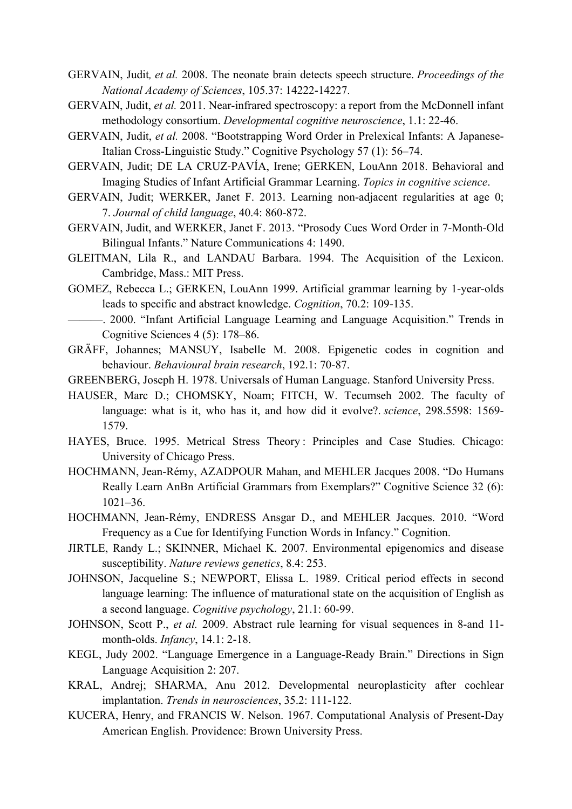- GERVAIN, Judit*, et al.* 2008. The neonate brain detects speech structure. *Proceedings of the National Academy of Sciences*, 105.37: 14222-14227.
- GERVAIN, Judit, *et al.* 2011. Near-infrared spectroscopy: a report from the McDonnell infant methodology consortium. *Developmental cognitive neuroscience*, 1.1: 22-46.
- GERVAIN, Judit, *et al.* 2008. "Bootstrapping Word Order in Prelexical Infants: A Japanese-Italian Cross-Linguistic Study." Cognitive Psychology 57 (1): 56–74.
- GERVAIN, Judit; DE LA CRUZ‐PAVÍA, Irene; GERKEN, LouAnn 2018. Behavioral and Imaging Studies of Infant Artificial Grammar Learning. *Topics in cognitive science*.
- GERVAIN, Judit; WERKER, Janet F. 2013. Learning non-adjacent regularities at age 0; 7. *Journal of child language*, 40.4: 860-872.
- GERVAIN, Judit, and WERKER, Janet F. 2013. "Prosody Cues Word Order in 7-Month-Old Bilingual Infants." Nature Communications 4: 1490.
- GLEITMAN, Lila R., and LANDAU Barbara. 1994. The Acquisition of the Lexicon. Cambridge, Mass.: MIT Press.
- GOMEZ, Rebecca L.; GERKEN, LouAnn 1999. Artificial grammar learning by 1-year-olds leads to specific and abstract knowledge. *Cognition*, 70.2: 109-135.
- ———. 2000. "Infant Artificial Language Learning and Language Acquisition." Trends in Cognitive Sciences 4 (5): 178–86.
- GRÄFF, Johannes; MANSUY, Isabelle M. 2008. Epigenetic codes in cognition and behaviour. *Behavioural brain research*, 192.1: 70-87.
- GREENBERG, Joseph H. 1978. Universals of Human Language. Stanford University Press.
- HAUSER, Marc D.; CHOMSKY, Noam; FITCH, W. Tecumseh 2002. The faculty of language: what is it, who has it, and how did it evolve?. *science*, 298.5598: 1569- 1579.
- HAYES, Bruce. 1995. Metrical Stress Theory : Principles and Case Studies. Chicago: University of Chicago Press.
- HOCHMANN, Jean-Rémy, AZADPOUR Mahan, and MEHLER Jacques 2008. "Do Humans Really Learn AnBn Artificial Grammars from Exemplars?" Cognitive Science 32 (6): 1021–36.
- HOCHMANN, Jean-Rémy, ENDRESS Ansgar D., and MEHLER Jacques. 2010. "Word Frequency as a Cue for Identifying Function Words in Infancy." Cognition.
- JIRTLE, Randy L.; SKINNER, Michael K. 2007. Environmental epigenomics and disease susceptibility. *Nature reviews genetics*, 8.4: 253.
- JOHNSON, Jacqueline S.; NEWPORT, Elissa L. 1989. Critical period effects in second language learning: The influence of maturational state on the acquisition of English as a second language. *Cognitive psychology*, 21.1: 60-99.
- JOHNSON, Scott P., *et al.* 2009. Abstract rule learning for visual sequences in 8-and 11 month-olds. *Infancy*, 14.1: 2-18.
- KEGL, Judy 2002. "Language Emergence in a Language-Ready Brain." Directions in Sign Language Acquisition 2: 207.
- KRAL, Andrej; SHARMA, Anu 2012. Developmental neuroplasticity after cochlear implantation. *Trends in neurosciences*, 35.2: 111-122.
- KUCERA, Henry, and FRANCIS W. Nelson. 1967. Computational Analysis of Present-Day American English. Providence: Brown University Press.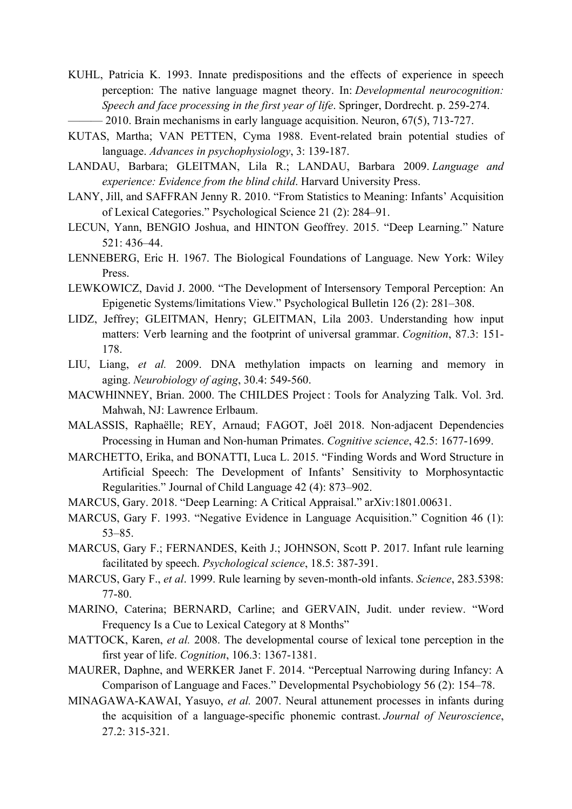KUHL, Patricia K. 1993. Innate predispositions and the effects of experience in speech perception: The native language magnet theory. In: *Developmental neurocognition: Speech and face processing in the first year of life*. Springer, Dordrecht. p. 259-274.

- 2010. Brain mechanisms in early language acquisition. Neuron, 67(5), 713-727.

- KUTAS, Martha; VAN PETTEN, Cyma 1988. Event-related brain potential studies of language. *Advances in psychophysiology*, 3: 139-187.
- LANDAU, Barbara; GLEITMAN, Lila R.; LANDAU, Barbara 2009. *Language and experience: Evidence from the blind child*. Harvard University Press.
- LANY, Jill, and SAFFRAN Jenny R. 2010. "From Statistics to Meaning: Infants' Acquisition of Lexical Categories." Psychological Science 21 (2): 284–91.
- LECUN, Yann, BENGIO Joshua, and HINTON Geoffrey. 2015. "Deep Learning." Nature 521: 436–44.
- LENNEBERG, Eric H. 1967. The Biological Foundations of Language. New York: Wiley Press.
- LEWKOWICZ, David J. 2000. "The Development of Intersensory Temporal Perception: An Epigenetic Systems/limitations View." Psychological Bulletin 126 (2): 281–308.
- LIDZ, Jeffrey; GLEITMAN, Henry; GLEITMAN, Lila 2003. Understanding how input matters: Verb learning and the footprint of universal grammar. *Cognition*, 87.3: 151- 178.
- LIU, Liang, *et al.* 2009. DNA methylation impacts on learning and memory in aging. *Neurobiology of aging*, 30.4: 549-560.
- MACWHINNEY, Brian. 2000. The CHILDES Project : Tools for Analyzing Talk. Vol. 3rd. Mahwah, NJ: Lawrence Erlbaum.
- MALASSIS, Raphaëlle; REY, Arnaud; FAGOT, Joël 2018. Non‐adjacent Dependencies Processing in Human and Non‐human Primates. *Cognitive science*, 42.5: 1677-1699.
- MARCHETTO, Erika, and BONATTI, Luca L. 2015. "Finding Words and Word Structure in Artificial Speech: The Development of Infants' Sensitivity to Morphosyntactic Regularities." Journal of Child Language 42 (4): 873–902.
- MARCUS, Gary. 2018. "Deep Learning: A Critical Appraisal." arXiv:1801.00631.
- MARCUS, Gary F. 1993. "Negative Evidence in Language Acquisition." Cognition 46 (1): 53–85.
- MARCUS, Gary F.; FERNANDES, Keith J.; JOHNSON, Scott P. 2017. Infant rule learning facilitated by speech. *Psychological science*, 18.5: 387-391.
- MARCUS, Gary F., *et al*. 1999. Rule learning by seven-month-old infants. *Science*, 283.5398: 77-80.
- MARINO, Caterina; BERNARD, Carline; and GERVAIN, Judit. under review. "Word Frequency Is a Cue to Lexical Category at 8 Months"
- MATTOCK, Karen, *et al.* 2008. The developmental course of lexical tone perception in the first year of life. *Cognition*, 106.3: 1367-1381.
- MAURER, Daphne, and WERKER Janet F. 2014. "Perceptual Narrowing during Infancy: A Comparison of Language and Faces." Developmental Psychobiology 56 (2): 154–78.
- MINAGAWA-KAWAI, Yasuyo, *et al.* 2007. Neural attunement processes in infants during the acquisition of a language-specific phonemic contrast. *Journal of Neuroscience*,  $27.2:315-321$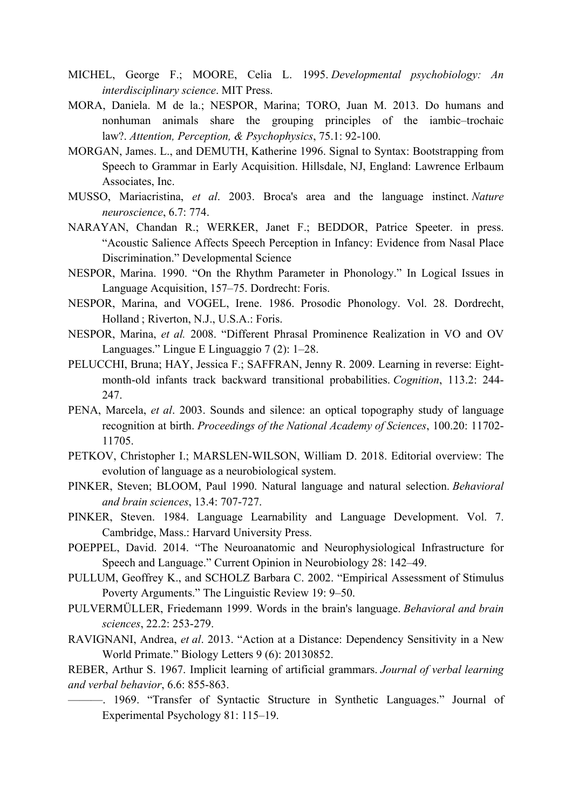- MICHEL, George F.; MOORE, Celia L. 1995. *Developmental psychobiology: An interdisciplinary science*. MIT Press.
- MORA, Daniela. M de la.; NESPOR, Marina; TORO, Juan M. 2013. Do humans and nonhuman animals share the grouping principles of the iambic–trochaic law?. *Attention, Perception, & Psychophysics*, 75.1: 92-100.
- MORGAN, James. L., and DEMUTH, Katherine 1996. Signal to Syntax: Bootstrapping from Speech to Grammar in Early Acquisition. Hillsdale, NJ, England: Lawrence Erlbaum Associates, Inc.
- MUSSO, Mariacristina, *et al*. 2003. Broca's area and the language instinct. *Nature neuroscience*, 6.7: 774.
- NARAYAN, Chandan R.; WERKER, Janet F.; BEDDOR, Patrice Speeter. in press. "Acoustic Salience Affects Speech Perception in Infancy: Evidence from Nasal Place Discrimination." Developmental Science
- NESPOR, Marina. 1990. "On the Rhythm Parameter in Phonology." In Logical Issues in Language Acquisition, 157–75. Dordrecht: Foris.
- NESPOR, Marina, and VOGEL, Irene. 1986. Prosodic Phonology. Vol. 28. Dordrecht, Holland ; Riverton, N.J., U.S.A.: Foris.
- NESPOR, Marina, *et al.* 2008. "Different Phrasal Prominence Realization in VO and OV Languages." Lingue E Linguaggio 7 (2): 1–28.
- PELUCCHI, Bruna; HAY, Jessica F.; SAFFRAN, Jenny R. 2009. Learning in reverse: Eightmonth-old infants track backward transitional probabilities. *Cognition*, 113.2: 244- 247.
- PENA, Marcela, *et al*. 2003. Sounds and silence: an optical topography study of language recognition at birth. *Proceedings of the National Academy of Sciences*, 100.20: 11702- 11705.
- PETKOV, Christopher I.; MARSLEN-WILSON, William D. 2018. Editorial overview: The evolution of language as a neurobiological system.
- PINKER, Steven; BLOOM, Paul 1990. Natural language and natural selection. *Behavioral and brain sciences*, 13.4: 707-727.
- PINKER, Steven. 1984. Language Learnability and Language Development. Vol. 7. Cambridge, Mass.: Harvard University Press.
- POEPPEL, David. 2014. "The Neuroanatomic and Neurophysiological Infrastructure for Speech and Language." Current Opinion in Neurobiology 28: 142–49.
- PULLUM, Geoffrey K., and SCHOLZ Barbara C. 2002. "Empirical Assessment of Stimulus Poverty Arguments." The Linguistic Review 19: 9–50.
- PULVERMÜLLER, Friedemann 1999. Words in the brain's language. *Behavioral and brain sciences*, 22.2: 253-279.
- RAVIGNANI, Andrea, *et al*. 2013. "Action at a Distance: Dependency Sensitivity in a New World Primate." Biology Letters 9 (6): 20130852.

REBER, Arthur S. 1967. Implicit learning of artificial grammars. *Journal of verbal learning and verbal behavior*, 6.6: 855-863.

———. 1969. "Transfer of Syntactic Structure in Synthetic Languages." Journal of Experimental Psychology 81: 115–19.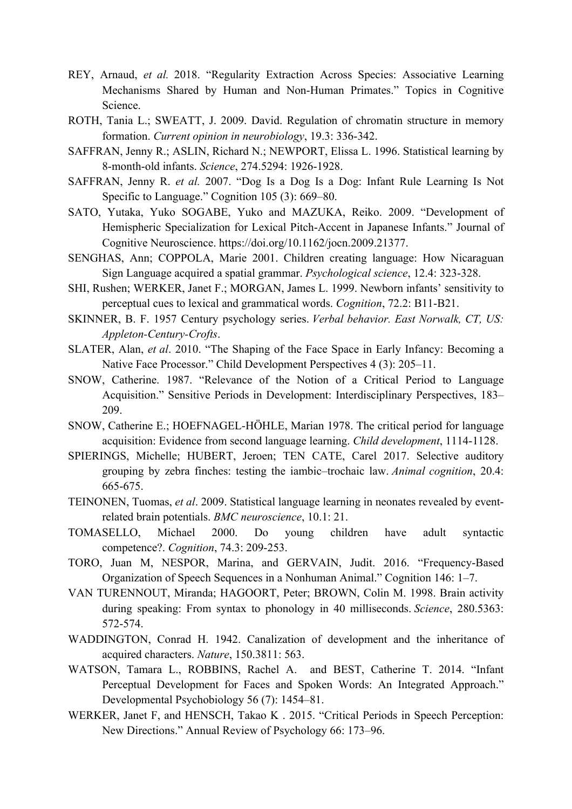- REY, Arnaud, *et al.* 2018. "Regularity Extraction Across Species: Associative Learning Mechanisms Shared by Human and Non-Human Primates." Topics in Cognitive Science.
- ROTH, Tania L.; SWEATT, J. 2009. David. Regulation of chromatin structure in memory formation. *Current opinion in neurobiology*, 19.3: 336-342.
- SAFFRAN, Jenny R.; ASLIN, Richard N.; NEWPORT, Elissa L. 1996. Statistical learning by 8-month-old infants. *Science*, 274.5294: 1926-1928.
- SAFFRAN, Jenny R. *et al.* 2007. "Dog Is a Dog Is a Dog: Infant Rule Learning Is Not Specific to Language." Cognition 105 (3): 669–80.
- SATO, Yutaka, Yuko SOGABE, Yuko and MAZUKA, Reiko. 2009. "Development of Hemispheric Specialization for Lexical Pitch-Accent in Japanese Infants." Journal of Cognitive Neuroscience. https://doi.org/10.1162/jocn.2009.21377.
- SENGHAS, Ann; COPPOLA, Marie 2001. Children creating language: How Nicaraguan Sign Language acquired a spatial grammar. *Psychological science*, 12.4: 323-328.
- SHI, Rushen; WERKER, Janet F.; MORGAN, James L. 1999. Newborn infants' sensitivity to perceptual cues to lexical and grammatical words. *Cognition*, 72.2: B11-B21.
- SKINNER, B. F. 1957 Century psychology series. *Verbal behavior. East Norwalk, CT, US: Appleton-Century-Crofts*.
- SLATER, Alan, *et al*. 2010. "The Shaping of the Face Space in Early Infancy: Becoming a Native Face Processor." Child Development Perspectives 4 (3): 205–11.
- SNOW, Catherine. 1987. "Relevance of the Notion of a Critical Period to Language Acquisition." Sensitive Periods in Development: Interdisciplinary Perspectives, 183– 209.
- SNOW, Catherine E.; HOEFNAGEL-HÖHLE, Marian 1978. The critical period for language acquisition: Evidence from second language learning. *Child development*, 1114-1128.
- SPIERINGS, Michelle; HUBERT, Jeroen; TEN CATE, Carel 2017. Selective auditory grouping by zebra finches: testing the iambic–trochaic law. *Animal cognition*, 20.4: 665-675.
- TEINONEN, Tuomas, *et al*. 2009. Statistical language learning in neonates revealed by eventrelated brain potentials. *BMC neuroscience*, 10.1: 21.
- TOMASELLO, Michael 2000. Do young children have adult syntactic competence?. *Cognition*, 74.3: 209-253.
- TORO, Juan M, NESPOR, Marina, and GERVAIN, Judit. 2016. "Frequency-Based Organization of Speech Sequences in a Nonhuman Animal." Cognition 146: 1–7.
- VAN TURENNOUT, Miranda; HAGOORT, Peter; BROWN, Colin M. 1998. Brain activity during speaking: From syntax to phonology in 40 milliseconds. *Science*, 280.5363: 572-574.
- WADDINGTON, Conrad H. 1942. Canalization of development and the inheritance of acquired characters. *Nature*, 150.3811: 563.
- WATSON, Tamara L., ROBBINS, Rachel A. and BEST, Catherine T. 2014. "Infant Perceptual Development for Faces and Spoken Words: An Integrated Approach." Developmental Psychobiology 56 (7): 1454–81.
- WERKER, Janet F, and HENSCH, Takao K . 2015. "Critical Periods in Speech Perception: New Directions." Annual Review of Psychology 66: 173–96.